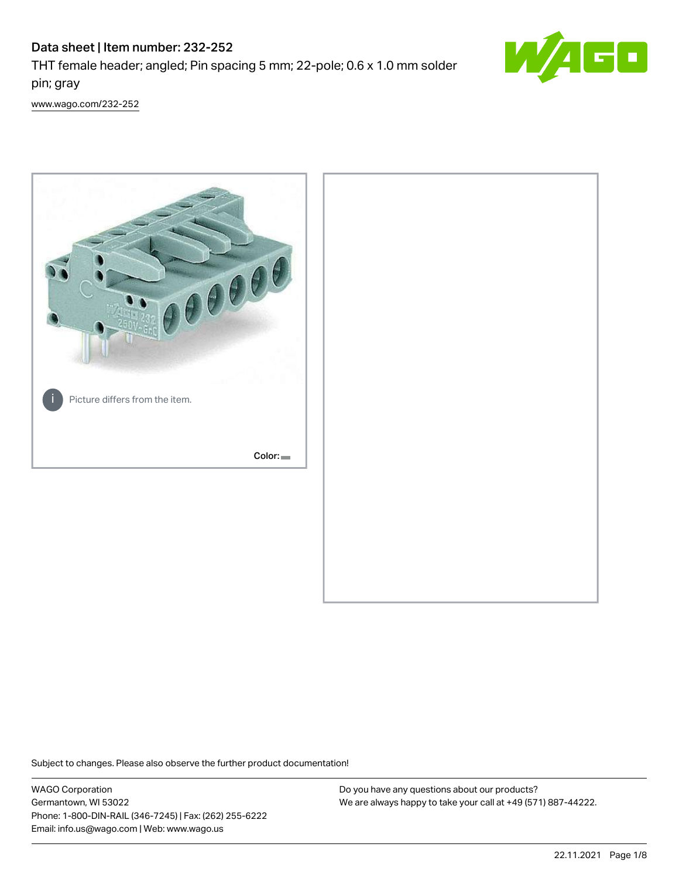# Data sheet | Item number: 232-252

THT female header; angled; Pin spacing 5 mm; 22-pole; 0.6 x 1.0 mm solder pin; gray



[www.wago.com/232-252](http://www.wago.com/232-252)



Subject to changes. Please also observe the further product documentation!

WAGO Corporation Germantown, WI 53022 Phone: 1-800-DIN-RAIL (346-7245) | Fax: (262) 255-6222 Email: info.us@wago.com | Web: www.wago.us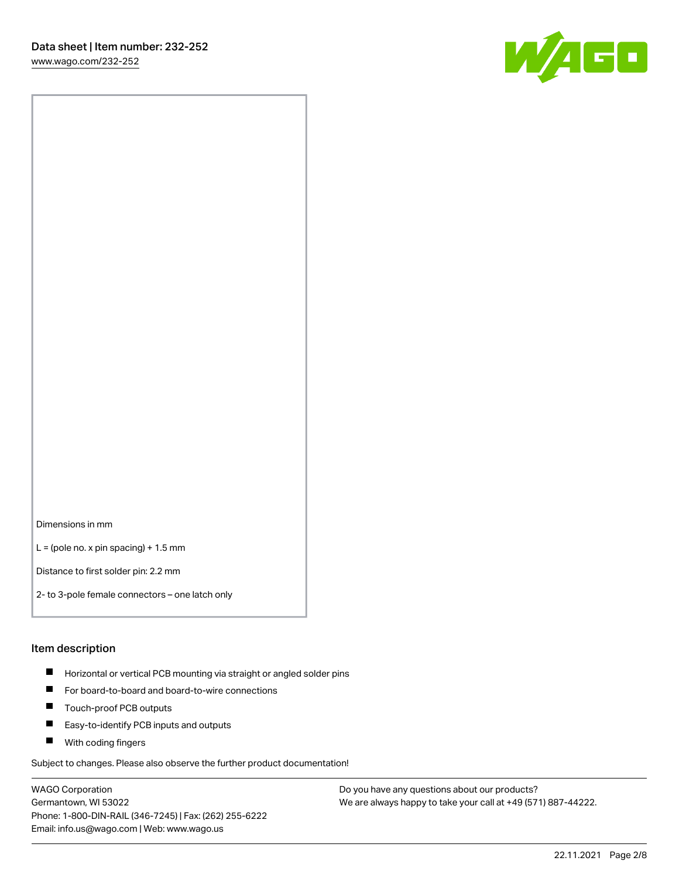[www.wago.com/232-252](http://www.wago.com/232-252)



Dimensions in mm

 $L =$  (pole no. x pin spacing) + 1.5 mm

Distance to first solder pin: 2.2 mm

2- to 3-pole female connectors – one latch only

#### Item description

- **Horizontal or vertical PCB mounting via straight or angled solder pins**
- For board-to-board and board-to-wire connections
- $\blacksquare$ Touch-proof PCB outputs
- $\blacksquare$ Easy-to-identify PCB inputs and outputs
- **Now With coding fingers**

Subject to changes. Please also observe the further product documentation!

WAGO Corporation Germantown, WI 53022 Phone: 1-800-DIN-RAIL (346-7245) | Fax: (262) 255-6222 Email: info.us@wago.com | Web: www.wago.us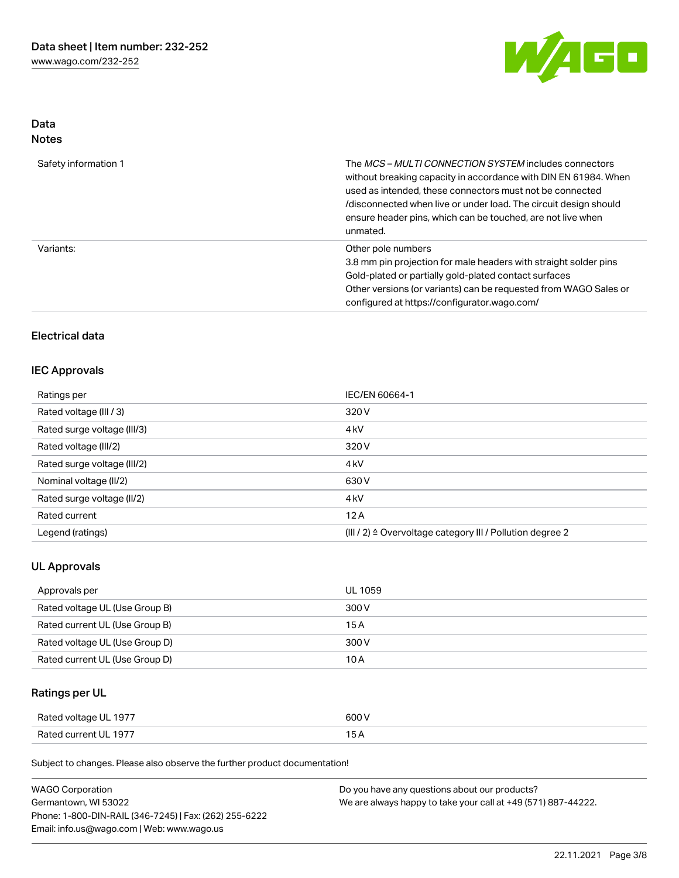

## Data Notes

| Safety information 1 | The <i>MCS – MULTI CONNECTION SYSTEM</i> includes connectors<br>without breaking capacity in accordance with DIN EN 61984. When<br>used as intended, these connectors must not be connected<br>/disconnected when live or under load. The circuit design should<br>ensure header pins, which can be touched, are not live when<br>unmated. |
|----------------------|--------------------------------------------------------------------------------------------------------------------------------------------------------------------------------------------------------------------------------------------------------------------------------------------------------------------------------------------|
| Variants:            | Other pole numbers<br>3.8 mm pin projection for male headers with straight solder pins<br>Gold-plated or partially gold-plated contact surfaces<br>Other versions (or variants) can be requested from WAGO Sales or<br>configured at https://configurator.wago.com/                                                                        |

## Electrical data

### IEC Approvals

| Ratings per                 | IEC/EN 60664-1                                                       |  |
|-----------------------------|----------------------------------------------------------------------|--|
| Rated voltage (III / 3)     | 320 V                                                                |  |
| Rated surge voltage (III/3) | 4 <sub>k</sub> V                                                     |  |
| Rated voltage (III/2)       | 320 V                                                                |  |
| Rated surge voltage (III/2) | 4 <sub>k</sub> V                                                     |  |
| Nominal voltage (II/2)      | 630 V                                                                |  |
| Rated surge voltage (II/2)  | 4 <sub>k</sub> V                                                     |  |
| Rated current               | 12A                                                                  |  |
| Legend (ratings)            | (III / 2) $\triangleq$ Overvoltage category III / Pollution degree 2 |  |

### UL Approvals

| Approvals per                  | <b>UL 1059</b> |
|--------------------------------|----------------|
| Rated voltage UL (Use Group B) | 300 V          |
| Rated current UL (Use Group B) | 15 A           |
| Rated voltage UL (Use Group D) | 300 V          |
| Rated current UL (Use Group D) | 10 A           |

# Ratings per UL

| Rated voltage UL 1977 | 600 V |
|-----------------------|-------|
| Rated current UL 1977 |       |

Subject to changes. Please also observe the further product documentation!

| <b>WAGO Corporation</b>                                | Do you have any questions about our products?                 |
|--------------------------------------------------------|---------------------------------------------------------------|
| Germantown, WI 53022                                   | We are always happy to take your call at +49 (571) 887-44222. |
| Phone: 1-800-DIN-RAIL (346-7245)   Fax: (262) 255-6222 |                                                               |
| Email: info.us@wago.com   Web: www.wago.us             |                                                               |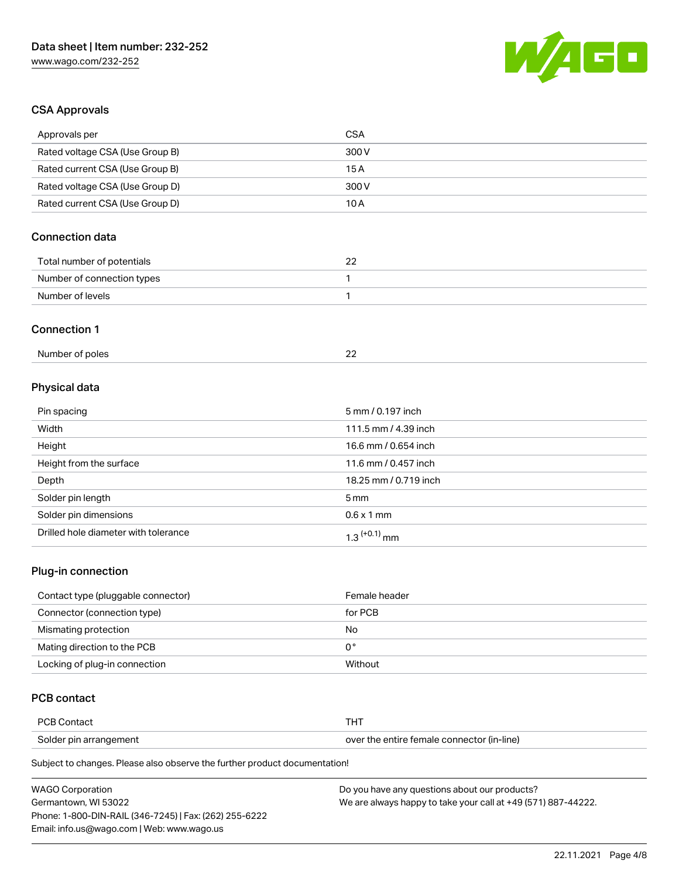

## CSA Approvals

| Approvals per                          | <b>CSA</b>            |
|----------------------------------------|-----------------------|
| Rated voltage CSA (Use Group B)        | 300V                  |
| Rated current CSA (Use Group B)        | 15A                   |
| Rated voltage CSA (Use Group D)        | 300V                  |
| Rated current CSA (Use Group D)        | 10A                   |
| <b>Connection data</b>                 |                       |
| Total number of potentials             | 22                    |
| Number of connection types             | 1                     |
| Number of levels                       | 1                     |
| <b>Connection 1</b><br>Number of poles | 22                    |
|                                        |                       |
| Physical data                          |                       |
| Pin spacing                            | 5 mm / 0.197 inch     |
| Width                                  | 111.5 mm / 4.39 inch  |
| Height                                 | 16.6 mm / 0.654 inch  |
| Height from the surface                | 11.6 mm / 0.457 inch  |
| Depth                                  | 18.25 mm / 0.719 inch |
| Solder pin length                      | 5 <sub>mm</sub>       |

| Solder pin dimensions                | l mm<br>0.6 x 1 |
|--------------------------------------|-----------------|
| Drilled hole diameter with tolerance | mm              |

## Plug-in connection

| Contact type (pluggable connector) | Female header |
|------------------------------------|---------------|
| Connector (connection type)        | for PCB       |
| Mismating protection               | No            |
| Mating direction to the PCB        | 0°            |
| Locking of plug-in connection      | Without       |

## PCB contact

| <b>PCB Contact</b>     | п.                                         |
|------------------------|--------------------------------------------|
| Solder pin arrangement | over the entire female connector (in-line) |

Subject to changes. Please also observe the further product documentation!

| <b>WAGO Corporation</b>                                | Do you have any questions about our products?                 |
|--------------------------------------------------------|---------------------------------------------------------------|
| Germantown, WI 53022                                   | We are always happy to take your call at +49 (571) 887-44222. |
| Phone: 1-800-DIN-RAIL (346-7245)   Fax: (262) 255-6222 |                                                               |
| Email: info.us@wago.com   Web: www.wago.us             |                                                               |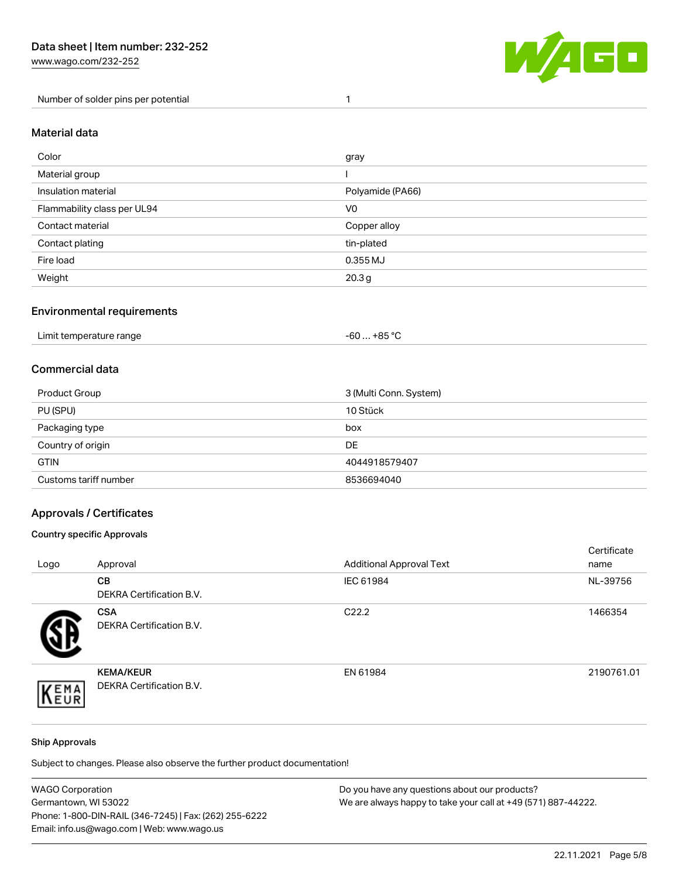[www.wago.com/232-252](http://www.wago.com/232-252)

Number of solder pins per potential 1



### Material data

| Color                       | gray              |
|-----------------------------|-------------------|
| Material group              |                   |
| Insulation material         | Polyamide (PA66)  |
| Flammability class per UL94 | V <sub>0</sub>    |
| Contact material            | Copper alloy      |
| Contact plating             | tin-plated        |
| Fire load                   | 0.355 MJ          |
| Weight                      | 20.3 <sub>g</sub> |

### Environmental requirements

| Limit temperature range<br>.<br>. | +85 °C<br>-60 … |  |
|-----------------------------------|-----------------|--|
|-----------------------------------|-----------------|--|

## Commercial data

| Product Group         | 3 (Multi Conn. System) |
|-----------------------|------------------------|
| PU (SPU)              | 10 Stück               |
| Packaging type        | box                    |
| Country of origin     | <b>DE</b>              |
| <b>GTIN</b>           | 4044918579407          |
| Customs tariff number | 8536694040             |

### Approvals / Certificates

#### Country specific Approvals

| Logo | Approval                                            | <b>Additional Approval Text</b> | Certificate<br>name |
|------|-----------------------------------------------------|---------------------------------|---------------------|
|      | CВ<br><b>DEKRA Certification B.V.</b>               | IEC 61984                       | NL-39756            |
|      | <b>CSA</b><br>DEKRA Certification B.V.              | C <sub>22.2</sub>               | 1466354             |
| EMA  | <b>KEMA/KEUR</b><br><b>DEKRA Certification B.V.</b> | EN 61984                        | 2190761.01          |

#### Ship Approvals

Subject to changes. Please also observe the further product documentation!

| <b>WAGO Corporation</b>                                | Do you have any questions about our products?                 |
|--------------------------------------------------------|---------------------------------------------------------------|
| Germantown, WI 53022                                   | We are always happy to take your call at +49 (571) 887-44222. |
| Phone: 1-800-DIN-RAIL (346-7245)   Fax: (262) 255-6222 |                                                               |
| Email: info.us@wago.com   Web: www.wago.us             |                                                               |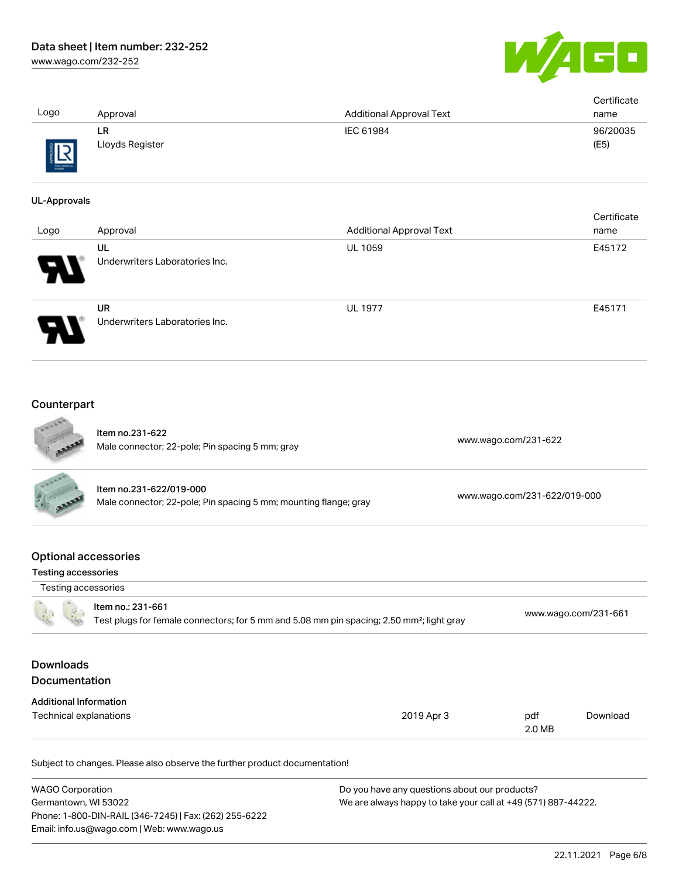WAGO

| Logo                                                      | Approval                                                                                                                   | <b>Additional Approval Text</b> | Certificate<br>name          |
|-----------------------------------------------------------|----------------------------------------------------------------------------------------------------------------------------|---------------------------------|------------------------------|
|                                                           | <b>LR</b><br>Lloyds Register                                                                                               | IEC 61984                       | 96/20035<br>(E5)             |
| <b>UL-Approvals</b>                                       |                                                                                                                            |                                 |                              |
| Logo                                                      | Approval                                                                                                                   | <b>Additional Approval Text</b> | Certificate<br>name          |
|                                                           | UL<br>Underwriters Laboratories Inc.                                                                                       | UL 1059                         | E45172                       |
|                                                           | <b>UR</b><br>Underwriters Laboratories Inc.                                                                                | <b>UL 1977</b>                  | E45171                       |
| Counterpart                                               |                                                                                                                            |                                 |                              |
|                                                           | Item no.231-622<br>Male connector; 22-pole; Pin spacing 5 mm; gray                                                         |                                 | www.wago.com/231-622         |
|                                                           | Item no.231-622/019-000<br>Male connector; 22-pole; Pin spacing 5 mm; mounting flange; gray                                |                                 | www.wago.com/231-622/019-000 |
| <b>Optional accessories</b><br><b>Testing accessories</b> |                                                                                                                            |                                 |                              |
| Testing accessories                                       |                                                                                                                            |                                 |                              |
|                                                           | Item no.: 231-661<br>Test plugs for female connectors; for 5 mm and 5.08 mm pin spacing; 2,50 mm <sup>2</sup> ; light gray |                                 | www.wago.com/231-661         |
| <b>Downloads</b><br>Documentation                         |                                                                                                                            |                                 |                              |
| <b>Additional Information</b><br>Technical explanations   |                                                                                                                            | 2019 Apr 3                      | pdf<br>Download<br>2.0 MB    |
|                                                           | Subject to changes. Please also observe the further product documentation!                                                 |                                 |                              |

| <b>WAGO Corporation</b>                                |
|--------------------------------------------------------|
| Germantown, WI 53022                                   |
| Phone: 1-800-DIN-RAIL (346-7245)   Fax: (262) 255-6222 |
| Email: info.us@wago.com   Web: www.wago.us             |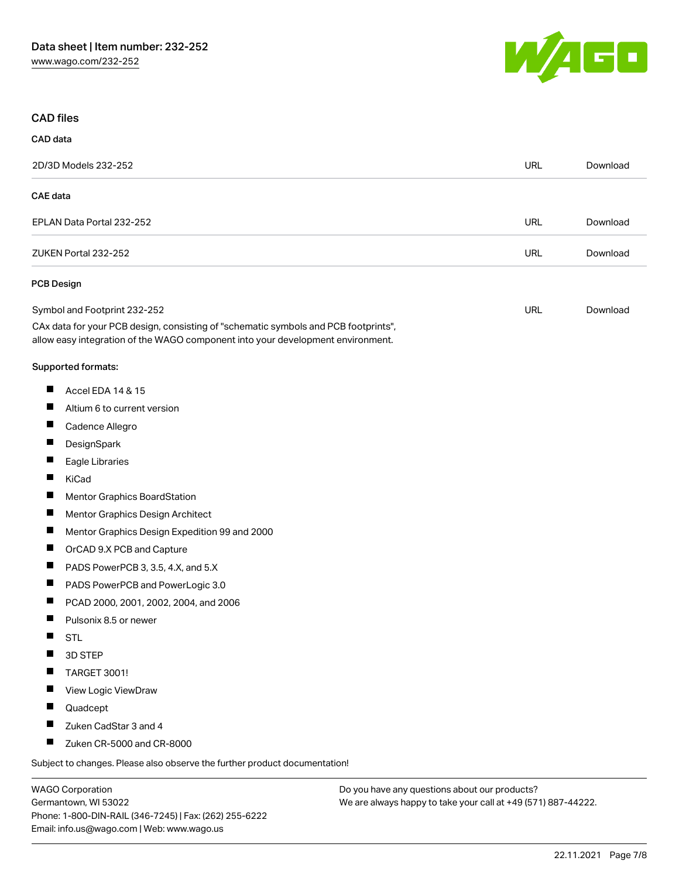

### CAD files

| CAD data          |                                                                                                                                                                        |            |          |
|-------------------|------------------------------------------------------------------------------------------------------------------------------------------------------------------------|------------|----------|
|                   | 2D/3D Models 232-252                                                                                                                                                   | <b>URL</b> | Download |
| <b>CAE</b> data   |                                                                                                                                                                        |            |          |
|                   | EPLAN Data Portal 232-252                                                                                                                                              | <b>URL</b> | Download |
|                   | ZUKEN Portal 232-252                                                                                                                                                   | URL        | Download |
| <b>PCB Design</b> |                                                                                                                                                                        |            |          |
|                   | Symbol and Footprint 232-252                                                                                                                                           | URL        | Download |
|                   | CAx data for your PCB design, consisting of "schematic symbols and PCB footprints",<br>allow easy integration of the WAGO component into your development environment. |            |          |
|                   | Supported formats:                                                                                                                                                     |            |          |
| ш                 | Accel EDA 14 & 15                                                                                                                                                      |            |          |
| ш                 | Altium 6 to current version                                                                                                                                            |            |          |
| Ш                 | Cadence Allegro                                                                                                                                                        |            |          |
| Ш                 | DesignSpark                                                                                                                                                            |            |          |
| п                 | Eagle Libraries                                                                                                                                                        |            |          |
| п                 | KiCad                                                                                                                                                                  |            |          |
| ш                 | Mentor Graphics BoardStation                                                                                                                                           |            |          |
| ш                 | Mentor Graphics Design Architect                                                                                                                                       |            |          |
| Ш                 | Mentor Graphics Design Expedition 99 and 2000                                                                                                                          |            |          |
| ш                 | OrCAD 9.X PCB and Capture                                                                                                                                              |            |          |
| ш                 | PADS PowerPCB 3, 3.5, 4.X, and 5.X                                                                                                                                     |            |          |
| Ш                 | PADS PowerPCB and PowerLogic 3.0                                                                                                                                       |            |          |
| П                 | PCAD 2000, 2001, 2002, 2004, and 2006                                                                                                                                  |            |          |
| П                 | Pulsonix 8.5 or newer                                                                                                                                                  |            |          |
| H                 | <b>STL</b>                                                                                                                                                             |            |          |
|                   | 3D STEP                                                                                                                                                                |            |          |
|                   | <b>TARGET 3001!</b>                                                                                                                                                    |            |          |
| п                 | View Logic ViewDraw                                                                                                                                                    |            |          |
| ш                 | Quadcept                                                                                                                                                               |            |          |
|                   | Zuken CadStar 3 and 4                                                                                                                                                  |            |          |
| Ц                 | Zuken CR-5000 and CR-8000                                                                                                                                              |            |          |
|                   | Subject to changes. Please also observe the further product documentation!                                                                                             |            |          |

WAGO Corporation Germantown, WI 53022 Phone: 1-800-DIN-RAIL (346-7245) | Fax: (262) 255-6222 Email: info.us@wago.com | Web: www.wago.us